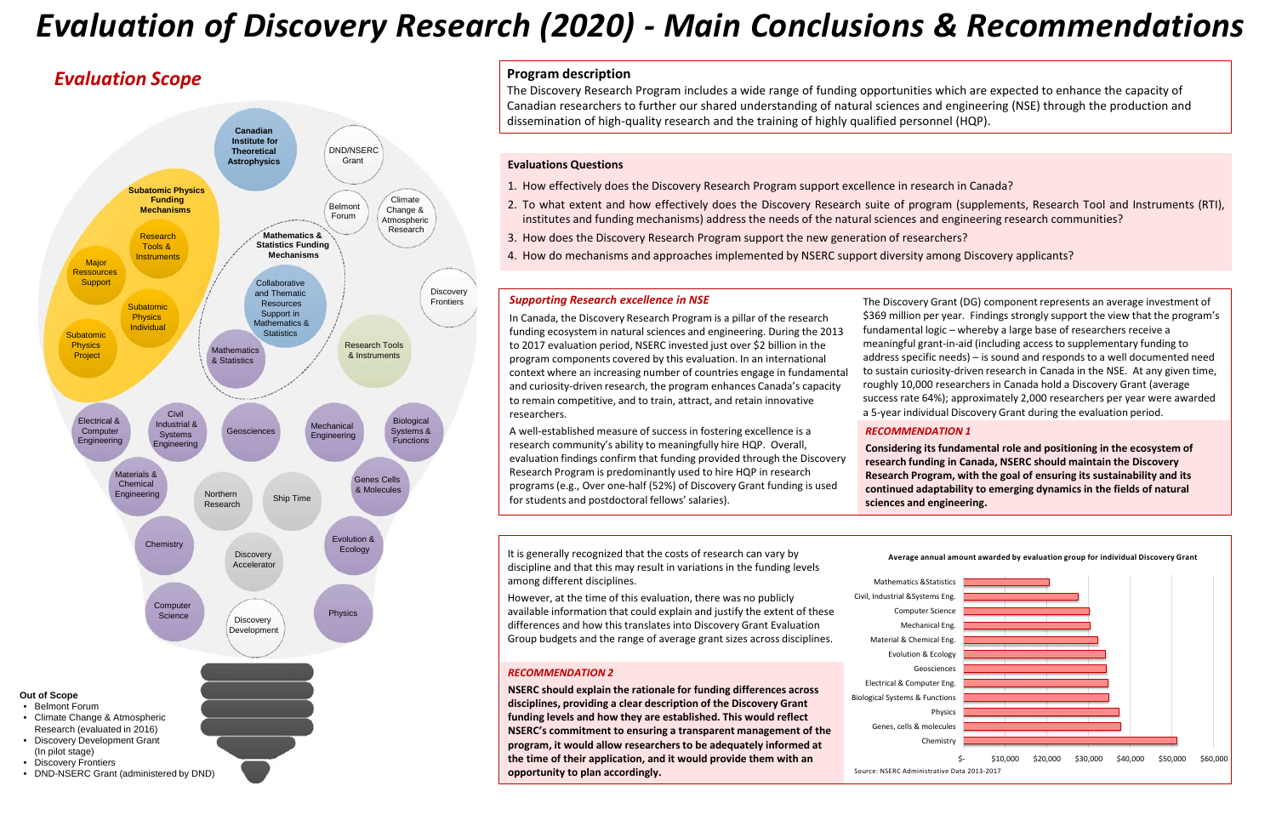# *Evaluation Scope*

# *Evaluation of Discovery Research (2020) - Main Conclusions & Recommendations*

### **Program description**



The Discovery Research Program includes a wide range of funding opportunities which are expected to enhance the capacity of Canadian researchers to further our shared understanding of natural sciences and engineering (NSE) through the production and dissemination of high-quality research and the training of highly qualified personnel (HQP).

#### **Evaluations Questions**

m canada, the Biscovery Research Frogram is a plinar of the research.<br>
fundamental logic – whereby a large base of researchers receive a context where an increasing number of countries engage in fundamental to sustain curiosity-driven research in Canada in the NSE. At any given<br>context where an increasing number of countries engage in fundamental to sustain to remain competitive, and to train, attract, and retain innovative In Canada, the Discovery Research Program is a pillar of the research to 2017 evaluation period, NSERC invested just over \$2 billion in the program components covered by this evaluation. In an international and curiosity-driven research, the program enhances Canada's capacity researchers.

- 1. How effectively does the Discovery Research Program support excellence in research in Canada?
- 2. To what extent and how effectively does the Discovery Research suite of program (supplements, Research Tool and Instruments (RTI), institutes and funding mechanisms) address the needs of the natural sciences and engineering research communities?
- 3. How does the Discovery Research Program support the new generation of researchers?
- 4. How do mechanisms and approaches implemented by NSERC support diversity among Discovery applicants?

# **Supporting Research excellence in NSE**

to 2017 evaluation period, NSERC invested just over \$2 billion in the controlling maint in the discovery research Program components covered by this evaluation. In an international address specific needs) – is sound and re The Discovery Grant (DG) component represents an average investment of \$369 million per year. Findings strongly support the view that the program's fundamental logic – whereby a large base of researchers receive a meaningful grant-in-aid (including access to supplementary funding to to sustain curiosity-driven research in Canada in the NSE. At any given time, roughly 10,000 researchers in Canada hold a Discovery Grant (average success rate 64%); approximately 2,000 researchers per year were awarded a 5-year individual Discovery Grant during the evaluation period.

> Genes, cells & molecules **Biological Systems & Functions** Electrical & Computer Eng. Geosciences Evolution & Ecology Material & Chemical Eng. Mechanical Eng. Computer Science Civil, Industrial &Systems Eng. Mathematics &Statistics

**NSERC should explain the rationale for funding differences across disciplines, providing a clear description of the Discovery Grant funding levels and how they are established. This would reflect NSERC's commitment to ensuring a transparent management of the program, it would allow researchers to be adequately informed at the time of their application, and it would provide them with an opportunity to plan accordingly. Source: NSERC Administrative Data 2013-2017 Space: NSERC Administrative Data 2013-2017** 

A well-established measure of success in fostering excellence is a research community's ability to meaningfully hire HQP. Overall, evaluation findings confirm that funding provided through the Discovery Research Program is predominantly used to hire HQP in research programs (e.g., Over one-half (52%) of Discovery Grant funding is used for students and postdoctoral fellows' salaries).

#### *RECOMMENDATION 1*

**Considering its fundamental role and positioning in the ecosystem of research funding in Canada, NSERC should maintain the Discovery Research Program, with the goal of ensuring its sustainability and its continued adaptability to emerging dynamics in the fields of natural sciences and engineering.**



**Average annual amount awarded by evaluation group for individual Discovery Grant** It is generally recognized that the costs of research can vary by discipline and that this may result in variations in the funding levels among different disciplines.

However, at the time of this evaluation, there was no publicly available information that could explain and justify the extent of these differences and how this translates into Discovery Grant Evaluation Group budgets and the range of average grant sizes across disciplines.

#### *RECOMMENDATION 2*